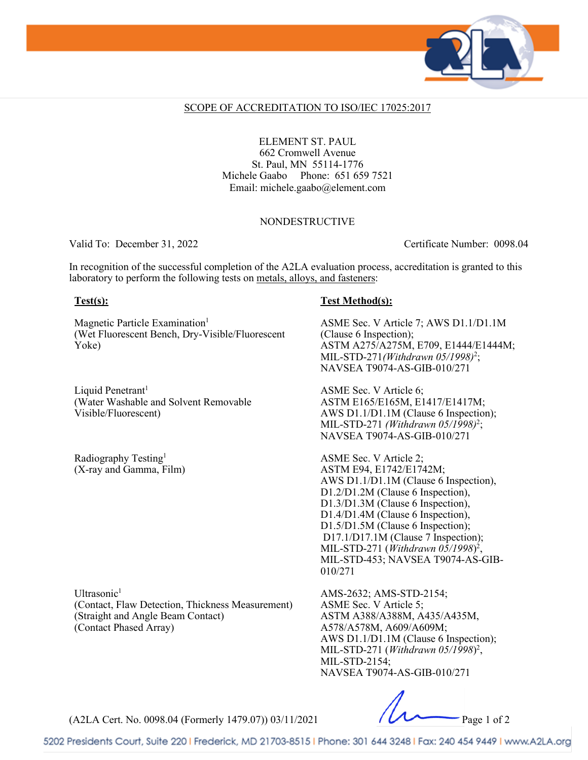

#### SCOPE OF ACCREDITATION TO ISO/IEC 17025:2017

ELEMENT ST. PAUL 662 Cromwell Avenue St. Paul, MN 55114-1776 Michele Gaabo Phone: 651 659 7521 Email: michele.gaabo@element.com

### NONDESTRUCTIVE

Valid To: December 31, 2022 Certificate Number: 0098.04

In recognition of the successful completion of the A2LA evaluation process, accreditation is granted to this laboratory to perform the following tests on metals, alloys, and fasteners:

Magnetic Particle Examination<sup>1</sup> (Wet Fluorescent Bench, Dry-Visible/Fluorescent Yoke)

Liquid Penetrant<sup>1</sup> (Water Washable and Solvent Removable Visible/Fluorescent)

Radiography Testing<sup>1</sup> (X-ray and Gamma, Film)

Ultrasonic<sup>1</sup> (Contact, Flaw Detection, Thickness Measurement) (Straight and Angle Beam Contact) (Contact Phased Array)

### **Test(s): Test Method(s):**

ASME Sec. V Article 7; AWS D1.1/D1.1M (Clause 6 Inspection); ASTM A275/A275M, E709, E1444/E1444M; MIL-STD-271*(Withdrawn 05/1998)*<sup>2</sup> ; NAVSEA T9074-AS-GIB-010/271

ASME Sec. V Article 6; ASTM E165/E165M, E1417/E1417M; AWS D1.1/D1.1M (Clause 6 Inspection); MIL-STD-271 *(Withdrawn 05/1998)*<sup>2</sup> ; NAVSEA T9074-AS-GIB-010/271

ASME Sec. V Article 2; ASTM E94, E1742/E1742M; AWS D1.1/D1.1M (Clause 6 Inspection), D1.2/D1.2M (Clause 6 Inspection), D1.3/D1.3M (Clause 6 Inspection), D1.4/D1.4M (Clause 6 Inspection), D1.5/D1.5M (Clause 6 Inspection); D17.1/D17.1M (Clause 7 Inspection); MIL-STD-271 (*Withdrawn 05/1998*) 2 , MIL-STD-453; NAVSEA T9074-AS-GIB-010/271

AMS-2632; AMS-STD-2154; ASME Sec. V Article 5; ASTM A388/A388M, A435/A435M, A578/A578M, A609/A609M; AWS D1.1/D1.1M (Clause 6 Inspection); MIL-STD-271 (*Withdrawn 05/1998*) 2 , MIL-STD-2154; NAVSEA T9074-AS-GIB-010/271

(A2LA Cert. No. 0098.04 (Formerly 1479.07)) 03/11/2021 Page 1 of 2

5202 Presidents Court, Suite 220 | Frederick, MD 21703-8515 | Phone: 301 644 3248 | Fax: 240 454 9449 | www.A2LA.org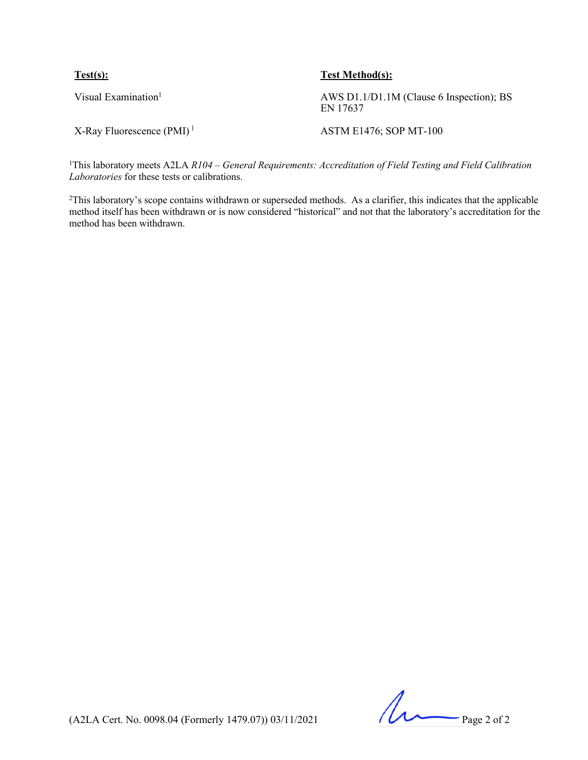| Test(s):                                 | <b>Test Method(s):</b>                               |
|------------------------------------------|------------------------------------------------------|
| Visual Examination <sup>1</sup>          | AWS D1.1/D1.1M (Clause 6 Inspection); BS<br>EN 17637 |
| $X$ -Ray Fluorescence (PMI) <sup>1</sup> | <b>ASTM E1476; SOP MT-100</b>                        |

<sup>1</sup>This laboratory meets A2LA *R104 – General Requirements: Accreditation of Field Testing and Field Calibration Laboratories* for these tests or calibrations.

2This laboratory's scope contains withdrawn or superseded methods. As a clarifier, this indicates that the applicable method itself has been withdrawn or is now considered "historical" and not that the laboratory's accreditation for the method has been withdrawn.